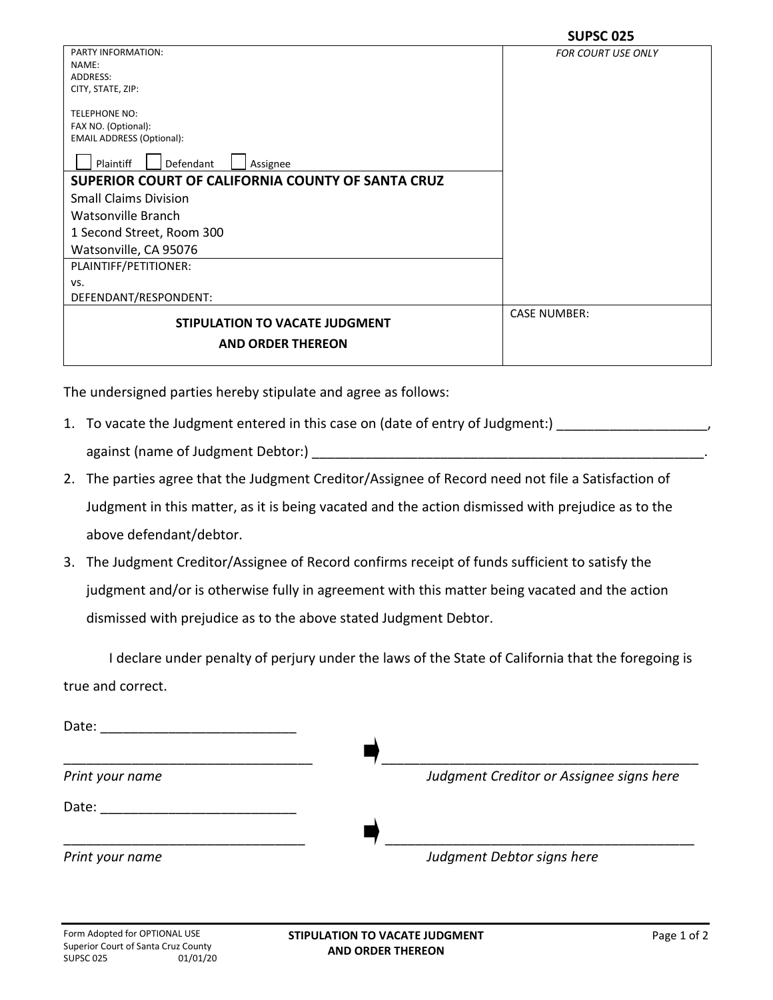|                                                   | JUI JU VEJ                |
|---------------------------------------------------|---------------------------|
| PARTY INFORMATION:                                | <b>FOR COURT USE ONLY</b> |
| NAME:                                             |                           |
| ADDRESS:                                          |                           |
| CITY, STATE, ZIP:                                 |                           |
| <b>TELEPHONE NO:</b>                              |                           |
| FAX NO. (Optional):                               |                           |
| <b>EMAIL ADDRESS (Optional):</b>                  |                           |
|                                                   |                           |
| Plaintiff<br>Defendant<br>Assignee                |                           |
| SUPERIOR COURT OF CALIFORNIA COUNTY OF SANTA CRUZ |                           |
| <b>Small Claims Division</b>                      |                           |
| Watsonville Branch                                |                           |
| 1 Second Street, Room 300                         |                           |
| Watsonville, CA 95076                             |                           |
| PLAINTIFF/PETITIONER:                             |                           |
| VS.                                               |                           |
| DEFENDANT/RESPONDENT:                             |                           |
|                                                   | <b>CASE NUMBER:</b>       |
| STIPULATION TO VACATE JUDGMENT                    |                           |
| <b>AND ORDER THEREON</b>                          |                           |
|                                                   |                           |

The undersigned parties hereby stipulate and agree as follows:

1. To vacate the Judgment entered in this case on (date of entry of Judgment:)

against (name of Judgment Debtor:)

- 2. The parties agree that the Judgment Creditor/Assignee of Record need not file a Satisfaction of Judgment in this matter, as it is being vacated and the action dismissed with prejudice as to the above defendant/debtor.
- 3. The Judgment Creditor/Assignee of Record confirms receipt of funds sufficient to satisfy the judgment and/or is otherwise fully in agreement with this matter being vacated and the action dismissed with prejudice as to the above stated Judgment Debtor.

I declare under penalty of perjury under the laws of the State of California that the foregoing is true and correct.

| Date:           |                                          |
|-----------------|------------------------------------------|
|                 |                                          |
| Print your name | Judgment Creditor or Assignee signs here |
| Date:           |                                          |
|                 |                                          |
| Print your name | Judgment Debtor signs here               |
|                 |                                          |